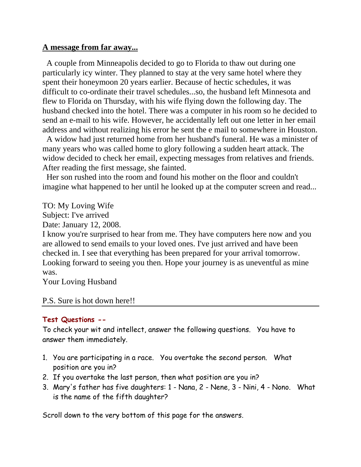## **A message from far away...**

 A couple from Minneapolis decided to go to Florida to thaw out during one particularly icy winter. They planned to stay at the very same hotel where they spent their honeymoon 20 years earlier. Because of hectic schedules, it was difficult to co-ordinate their travel schedules...so, the husband left Minnesota and flew to Florida on Thursday, with his wife flying down the following day. The husband checked into the hotel. There was a computer in his room so he decided to send an e-mail to his wife. However, he accidentally left out one letter in her email address and without realizing his error he sent the e mail to somewhere in Houston.

 A widow had just returned home from her husband's funeral. He was a minister of many years who was called home to glory following a sudden heart attack. The widow decided to check her email, expecting messages from relatives and friends. After reading the first message, she fainted.

 Her son rushed into the room and found his mother on the floor and couldn't imagine what happened to her until he looked up at the computer screen and read...

TO: My Loving Wife

Subject: I've arrived

Date: January 12, 2008.

I know you're surprised to hear from me. They have computers here now and you are allowed to send emails to your loved ones. I've just arrived and have been checked in. I see that everything has been prepared for your arrival tomorrow. Looking forward to seeing you then. Hope your journey is as uneventful as mine was.

Your Loving Husband

## P.S. Sure is hot down here!!

## **Test Questions --**

To check your wit and intellect, answer the following questions. You have to answer them immediately.

- 1. You are participating in a race. You overtake the second person. What position are you in?
- 2. If you overtake the last person, then what position are you in?
- 3. Mary's father has five daughters: 1 Nana, 2 Nene, 3 Nini, 4 Nono. What is the name of the fifth daughter?

Scroll down to the very bottom of this page for the answers.